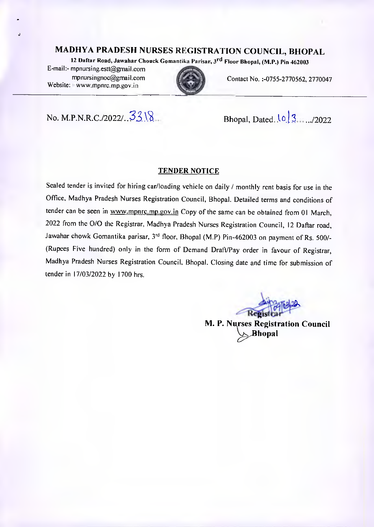12 Daftar Road, Jawahar Chouck Gomantika Parisar, 3<sup>rd</sup> Floor Bhopal, (M.P.) Pin 462003

E-mail:- mpnursing.estt@gmail.com mpnursingnoc@gmail.com Contact No. :-0755-2770562, 2770047 Website: www.mpnrc.mp.gov.in

J.



No. M.P.N.R.C./2022/..  $3318$  Bhopal, Dated  $1013$  ...../2022

#### TENDER NOTICE

Sealed tender is invited for hiring car/loading vehicle on daily / monthly rent basis for use in the Office, Madhya Pradesh Nurses Registration Council, Bhopal. Detailed terms and conditions of tender can be seen in www.mpnrc.mp.gov.in Copy of the same can be obtained from 01 March, 2022 from the 0/0 the Registrar, Madhya Pradesh Nurses Registration Council, 12 Daftar road, Jawahar chowk Gomantika parisar. 3rd floor, Bhopal (M.P) Pin-462003 on payment of Rs. 500/- (Rupees Five hundred) only in the form of Demand Draft/Pay order in favour of Registrar, Madhya Pradesh Nurses Registration Council, Bhopal. Closing date and time for submission of tender in 17/03/2022 by 1700 hrs.

M. P. Nurses Registration Council **Bhopal**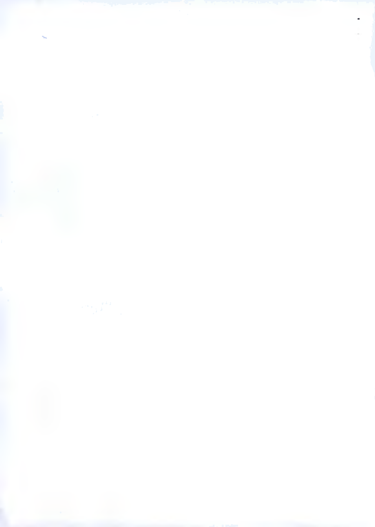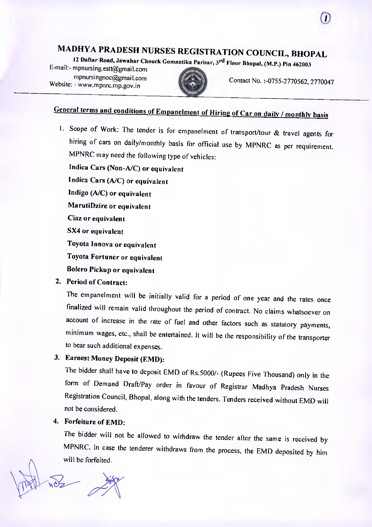12 Daftar Road, Jawahar Chouck Gomantika Parisar, 3rd Floor Bhopal, (M.P.) Pin 462003

E-mail:- mpnursing.estt@gmail.com mpnursingnoc@gmail.com enterprise contact No. :-0755-2770562, 2770047



0

# General terms and conditions of Empanelment of Hiring of Car on daily / monthly basis

I. Scope of Work: The tender is for empanelment of transport/tour & travel agents for hiring of cars on daily/monthly basis for official use by MPNRC as per requirement. MPNRC may need the following type of vehicles:

Indica Cars (Non-A/C) or equivalent

Indica Cars (A/C) or equivalent

Indigo (A/C) or equivalent

MarutiDzire or equivalent

Ciaz or equivalent

SX4 or equivalent

Toyota Innova or equivalent

Toyota Fortuner or equivalent

Bolero Pickup or equivalent

## 2. Period of Contract:

The empanelment will be initially valid for a period of one year and the rates once finalized will remain valid throughout the period of contract. No claims whatsoever on account of increase in the rate of fuel and other factors such as statutory payments, minimum wages, etc., shall be entertained. It will be the responsibility of the transporter to bear such additional expenses.

## 3. Earnest Money Deposit (EMD):

The bidder shall have to deposit EMD of Rs.5000/- (Rupees Five Thousand) only in the form of Demand Draft/Pay order in favour of Registrar Madhya Pradesh Nurses Registration Council, Bhopal, along with the tenders. Tenders received without EMD will not be considered.

## 4. Forfeiture of EMD:

The bidder will not be allowed to withdraw the tender after the same is received by MPNRC. In case the tenderer withdraws from the process, the EMD deposited by him will be forfeited.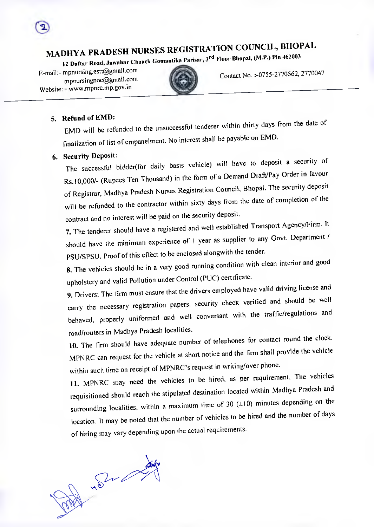

12 Daftar Road, Jawahar Chouck Comantika Parisar, 3rd Floor Bhopal, (M.P.) Pin 462003

E-mail:- mpnursing.estt@gmail.com mpnursingnoc@gmail.com 4 Website: - www.mpnrc.mP.gov.in



Contact No. :-0755-2770562, 2770047

## 5. Refund of EMD:

 $\mathbf{2}$ 

EMD will be refunded to the unsuccessful tenderer within thirty days from the date of finalization of list of empanelment. No interest shall be payable on EMD.

## 6. Security Deposit:

The successful bidder(for daily basis vehicle) will have to deposit a security of Rs.10,000/- (Rupees Ten Thousand) in the form of a Demand Draft/Pay Order in favour of Registrar, Madhya Pradesh Nurses Registration Council, Bhopal. The security deposit will be refunded to the contractor within sixty days from the date of completion of the contract and no interest will be paid on the security deposit.

7. The tenderer should have a registered and well established Transport Agency/Firm. It should have the minimum experience of I year as supplier to any Govt. Department / PSU/SPSU. Proof of this effect to be enclosed alongwith the tender.

8. The vehicles should be in a very good running condition with clean interior and good upholstery and valid Pollution under Control (PUC) certificate.

9. Drivers: The firm must ensure that the drivers employed have valid driving license and carry the necessary registration papers, security check verified and should be well behaved, properly uniformed and well conversant with the traffic/regulations and road/routers in Madhya Pradesh localities.

10. The firm should have adequate number of telephones for contact round the clock. MPNRC can request for the vehicle at short notice and the firm shall provide the vehicle within such time on receipt of MPNRC's request in writing/over phone.

11. MPNRC may need the vehicles to be hired. as per requirement. The vehicles requisitioned should reach the stipulated destination located within Madhya Pradesh and surrounding localities, within a maximum time of 30  $(\pm 10)$  minutes depending on the location. It may be noted that the number of vehicles to be hired and the number of days of hiring may vary depending upon the actual requirements.

A MONDY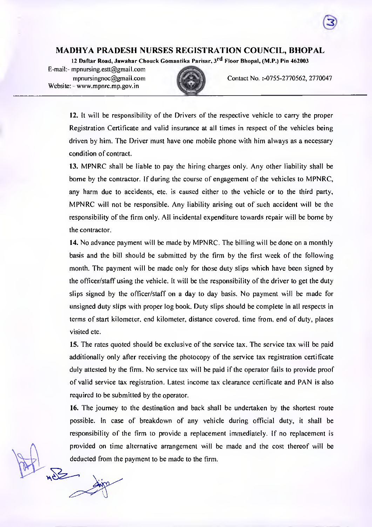12 Daftar Road, Jawahar Chouck Comantika Parisar, 3"d Floor Bhopal, (M.P.) Pin 462003

E-mail:- mpnursing.estt@gmail.com Website: - www.mpnrc.mp.gov.in



mpnursingnoc@gmail.com Contact No. :-0755-2770562, 2770047

g

12. It will be responsibility of the Drivers of the respective vehicle to carry the proper Registration Certificate and valid insurance at all times in respect of the vehicles being driven by him. The Driver must have one mobile phone with him always as a necessary condition of contract.

13. MPNRC shall be liable to pay the hiring charges only. Any other liability shall be borne by the contractor. If during the course of engagement of the vehicles to MPNRC, any harm due to accidents, etc. is caused either to the vehicle or to the third party, MPNRC will not be responsible. Any liability arising out of such accident will be the responsibility of the firm only. All incidental expenditure towards repair will be borne by the contractor.

14. No advance payment will be made by MPNRC. The billing will be done on a monthly basis and the bill should be submitted by the firm by the first week of the following month. The payment will be made only for those duty slips which have been signed by the officer/staff using the vehicle. It will be the responsibility of the driver to get the duty slips signed by the officer/staff on a day to day basis. No payment will be made for unsigned duty slips with proper log book. Duty slips should be complete in all respects in terms of start kilometer, end kilometer, distance covered, time from, end of duty, places visited etc.

15. The rates quoted should be exclusive of the service tax. The service tax will be paid additionally only after receiving the photocopy of the service tax registration certificate duly attested by the firm. No service tax will be paid if the operator fails to provide proof of valid service tax registration. Latest income tax clearance certificate and PAN is also required to be submitted by the operator.

16. The journey to the destination and back shall be undertaken by **the** shortest route possible. In case of breakdown of any vehicle during official duty, it shall be responsibility of the firm to provide a replacement immediately. If no replacement is provided on time alternative arrangement will be made and the cost thereof will be deducted from the payment to be made to the firm.

 $\sqrt{\frac{2}{\pi}}$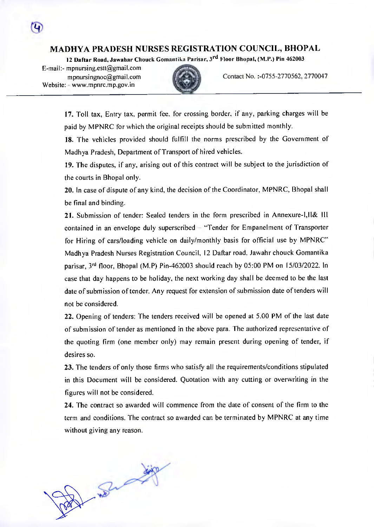12 Daftar Road, Jawahar Chouck Gomantika Parisar, 3rd Floor Bhopal, (M.P.) Pin 462003

E-mail:- mpnursing.estt@gmail.com Website: - www.mpnrc.mp.gov.in



mpnursingnoc@gmail.com Contact No. :-0755-2770562, 2770047

17. Toll tax, Entry tax, permit fee, for crossing border, if any, parking charges will be paid by MPNRC for which the original receipts should be submitted monthly.

18. The vehicles provided should fulfill the norms prescribed by the Government of Madhya Pradesh, Department of Transport of hired vehicles.

19. The disputes, if any, arising out of this contract will be subject to the jurisdiction of the courts in Bhopal only.

20. In case of dispute of any kind, the decision of the Coordinator, MPNRC, Bhopal shall be final and binding.

21. Submission of tender: Sealed tenders in the form prescribed in Annexure-1,11& Ill contained in an envelope duly superscribed — "Tender for Empanelment of Transporter for Hiring of cars/loading vehicle on daily/monthly basis for official use by MPNRC" Madhya Pradesh Nurses Registration Council, 12 Daftar road, Jawahr chouck Gomantika parisar, 3rd floor, Bhopal (M.P) Pin-462003 should reach by 05:00 PM on 15/03/2022. In case that day happens to be holiday, the next working day shall be deemed to be the last date of submission of tender. Any request for extension of submission date of tenders will not be considered.

22. Opening of tenders: The tenders received will be opened at 5.00 PM of the last date of submission of tender as mentioned in the above para. The authorized representative of the quoting firm (one member only) may remain present during opening of tender, if desires so.

23. The tenders of only those firms who satisfy all the requirements/conditions stipulated in this Document will be considered. Quotation with any cutting or overwriting in the figures will not be considered.

24. The contract so awarded will commence from the date of consent of the firm to the term and conditions. The contract so awarded can be terminated by MPNRC at any time without giving any reason.

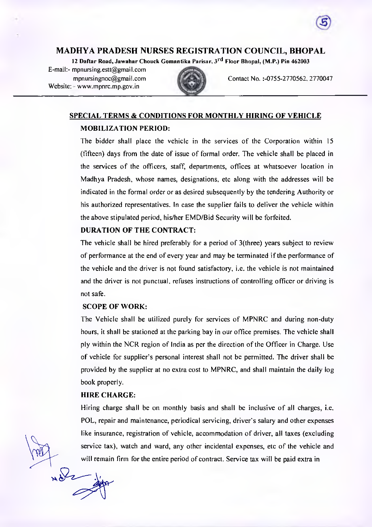

12 Daftar Road, Jawahar Chouck Gomantika Parisar,  $3<sup>rd</sup>$  Floor Bhopal, (M.P.) Pin 462003

E-mail:- mpnursing.estt@gmai Lem mpnursingnoc@gmail.com Website: - www.mpnrc.mp.gov.in



Contact No. :-0755-2770562. 2770047

## SPECIAL TERMS & CONDITIONS FOR MONTHLY HIRING OF VEHICLE MOBILIZATION PERIOD:

The bidder shall place the vehicle in the services of the Corporation within 15 (fifteen) days from the date of issue of formal order. The vehicle shall be placed in the services of the officers, staff, departments, offices at whatsoever location in Madhya Pradesh, whose names, designations, etc along with the addresses will be indicated in the formal order or as desired subsequently by the tendering Authority or his authorized representatives. In case the supplier fails to deliver the vehicle within the above stipulated period, his/her EMD/Bid Security will be forfeited.

## DURATION OF THE CONTRACT:

The vehicle shall be hired preferably for a period of 3(three) years subject to review of performance at the end of every year and may be terminated if the performance of the vehicle and the driver is not found satisfactory, i.e. the vehicle is not maintained and the driver is not punctual. refuses instructions of controlling officer or driving is not safe.

## SCOPE OF WORK:

The Vehicle shall be utilized purely for services of MPNRC and during non-duty hours, it shall be stationed at the parking bay in our office premises. The vehicle shall ply within the NCR region of India as per the direction of the Officer in Charge. Use of vehicle for supplier's personal interest shall not be permitted. The driver shall be provided by the supplier at no extra cost to MPNRC, and shall maintain the daily log book properly.

## HIRE CHARGE:

 $\frac{1}{2}$ 

Hiring charge shall be on monthly basis and shall be inclusive of all charges, i.e. POL, repair and maintenance, periodical servicing, driver's salary and other expenses like insurance, registration of vehicle, accommodation of driver, all taxes (excluding service tax), watch and ward, any other incidental expenses, etc of the vehicle and will remain firm for the entire period of contract. Service tax will be paid extra in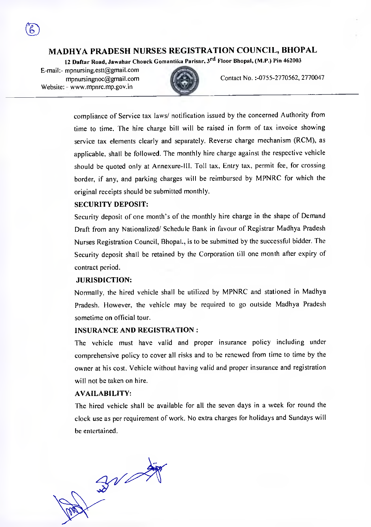

12 Daftar Road, Jawahar Chouck Gomantika Parisar, 3rd Floor Bhopal, (M.P.) Pin 462003

E-mail:- mpnursing.estt@gmail.com Website: - www.mpnrc.mp.gov.in



mpnursingnoc@gmail.com Contact No. :-0755-2770562, 2770047

compliance of Service tax laws/ notification issued by the concerned Authority from time to time. The hire charge bill will be raised in form of tax invoice showing service tax elements clearly and separately. Reverse charge mechanism (RCM), as applicable, shall be followed. The monthly hire charge against the respective vehicle should be quoted only at Annexure-Ill. Toll tax, Entry tax, permit fee, for crossing border, if any, and parking charges will be reimbursed by MPNRC for which the original receipts should be submitted monthly.

#### SECURITY DEPOSIT:

Security deposit of one month's of the monthly hire charge in the shape of Demand Draft from any Nationalized/ Schedule Bank in favour of Registrar Madhya Pradesh Nurses Registration Council, Bhopal., is to be submitted by the successful bidder. The Security deposit shall be retained by the Corporation till one month after expiry of contract period.

#### JURISDICTION:

Normally, the hired vehicle shall be utilized by MPNRC and stationed in Madhya Pradesh. However, the vehicle may be required to go outside Madhya Pradesh sometime on official tour.

#### INSURANCE AND REGISTRATION:

The vehicle must have valid and proper insurance policy including under comprehensive policy to cover all risks and to be renewed from time to time by the owner at his cost. Vehicle without having valid and proper insurance and registration will not be taken on hire.

#### AVAILABILITY:

The hired vehicle shall be available for all the seven days in a week for round the clock use as per requirement of work. No extra charges for holidays and Sundays will be entertained.

 $3\sqrt{2}$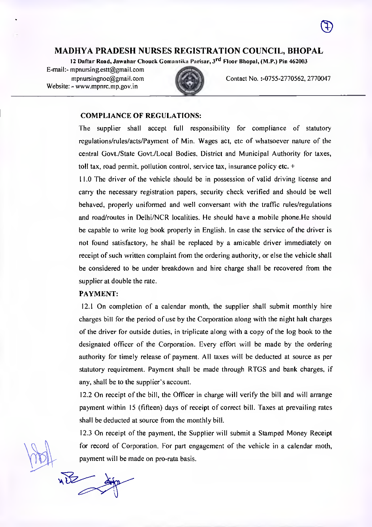12 Daftar Road, Jawahar Chouck Gomantika Parisar, 3<sup>rd</sup> Floor Bhopal, (M.P.) Pin 462003

E-mail:- mpnursing.estt@gmail.com Website: - www.mpnrc.mp.gov.in



mpnursingnoc@gmail.com Contact No. :-0755-2770562, 2770047

#### COMPLIANCE OF REGULATIONS:

The supplier shall accept full responsibility for compliance of statutory regulations/rules/acts/Payment of Min. Wages act, etc of whatsoever nature of the central Govt./State Govt./Local Bodies, District and Municipal Authority for taxes, toll tax, road permit. pollution control, service tax, insurance policy etc. +

11.0 The driver of the vehicle should be in possession of valid driving license and carry the necessary registration papers, security check verified and should be well behaved, properly uniformed and well conversant with the traffic rules/regulations and road/routes in Delhi/NCR localities. He should have a mobile phone.He should be capable to write log book properly in English. In case the service of the driver is not found satisfactory, he shall be replaced by a amicable driver immediately on receipt of such written complaint from the ordering authority, or else the vehicle shall be considered to be under breakdown and hire charge shall be recovered from the supplier at double the rate.

#### PAYMENT:

12.1 On completion of a calendar month, the supplier shall submit monthly hire charges bill for the period of use by the Corporation along with the night halt charges of the driver for outside duties, in triplicate along with a copy of the log book to the designated officer of the Corporation. Every effort will be made by the ordering authority for timely release of payment. All taxes will be deducted at source as per statutory requirement. Payment shall be made through RTGS and bank charges, if any, shall be to the supplier's account.

12.2 On receipt of the bill, the Officer in charge will verify the bill and will arrange payment within 15 (fifteen) days of receipt of correct bill. Taxes at prevailing rates shall be deducted at source from the monthly bill.

12.3 On receipt of the payment, the Supplier will submit a Stamped Money Receipt for record of Corporation. For part engagement of the vehicle in a calendar moth, payment will be made on pro-rata basis.

 $W$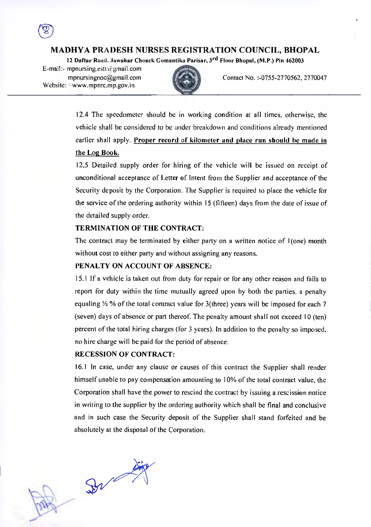12 Daftar Road, lawahar Chouck Gomantika Parisar, 3rd Floor Bhopal, (M.P.) Pin 462003

E-mail:- mpnursing.estt@gmail.com Website: - www.mpnrc.mp.gov.in



mpnursingnoc@gmail.com Contact No. :-0755-2770562, 2770047

12.4 The speedometer should be in working condition at all times, otherwise, the vehicle shall be considered to be under breakdown and conditions already mentioned earlier shall apply. Proper record of kilometer and place run should be made in the Log Book.

12.5 Detailed supply order for hiring of the vehicle will be issued on receipt of unconditional acceptance of Letter of Intent from the Supplier and acceptance of the Security deposit by the Corporation. The Supplier is required to place the vehicle for the service of the ordering authority within 15 (fifteen) days from the date of issue of the detailed supply order.

## TERMINATION OF THE CONTRACT:

The contract may be terminated by either party on a written notice of 1(one) month without cost to either party and without assigning any reasons.

#### PENALTY ON ACCOUNT OF ABSENCE:

15.1 If a vehicle is taken out from duty for repair or for any other reason and fails to report for duty within the time mutually agreed upon by both the parties, a penalty equaling  $\frac{1}{2}$ % of the total contract value for 3(three) years will be imposed for each 7 (seven) days of absence or part thereof. The penalty amount shall not exceed 10 (ten) percent of the total hiring charges (for 3 years). In addition to the penalty so imposed, no hire charge will be paid for the period of absence.

#### RECESSION OF CONTRACT:

16.1 In case, under any clause or causes of this contract the Supplier shall render himself unable to pay compensation amounting to 10% of the total contract value, the Corporation shall have the power to rescind the contract by issuing a rescission notice in writing to the supplier by the ordering authority which shall be final and conclusive and in such case the Security deposit of the Supplier shall stand forfeited and be absolutely at the disposal of the Corporation.

 $30/22$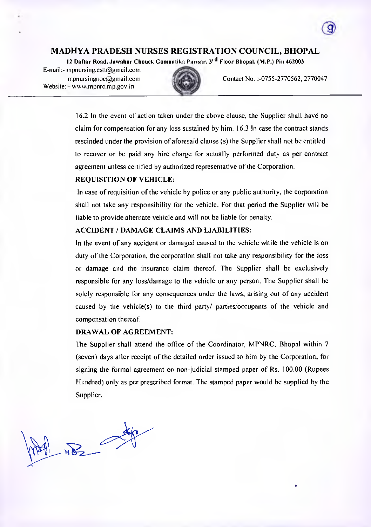12 Daftar Road, Jawahar Chouck Gomantika Parisar, 3<sup>rd</sup> Floor Bhopal, (M.P.) Pin 462003

E-mail:- mpnursing.estt@gmail.com Website: - www.mpnrc.mp.gov.in



mpnursingnoc@gmail.com Contact No. :-0755-2770562, 2770047

16.2 In the event of action taken under the above clause, the Supplier shall have no claim for compensation for any loss sustained by him. 16.3 In case the contract stands rescinded under the provision of aforesaid clause (s) the Supplier shall not be entitled to recover or be paid any hire charge for actually performed duty as per contract agreement unless certified by authorized representative of the Corporation.

#### REQUISITION OF VEHICLE:

In case of requisition of the vehicle by police or any public authority, the corporation shall not take any responsibility for the vehicle. For that period the Supplier will be liable to provide alternate vehicle and will not be liable for penalty.

#### ACCIDENT / DAMAGE CLAIMS AND LIABILITIES:

In the event of any accident or damaged caused to the vehicle while the vehicle is on duty of the Corporation, the corporation shall not take any responsibility for the loss or damage and the insurance claim thereof. The Supplier shall be exclusively responsible for any loss/damage to the vehicle or any person. The Supplier shall be solely responsible for any consequences under the laws, arising out of any accident caused by the vehicle(s) to the third party/ parties/occupants of the vehicle and compensation thereof.

### DRAWAL OF AGREEMENT:

The Supplier shall attend the office of the Coordinator, MPNRC, Bhopal within 7 (seven) days after receipt of the detailed order issued to him by the Corporation, for signing the formal agreement on non-judicial stamped paper of Rs. 100.00 (Rupees Hundred) only as per prescribed format. The stamped paper would be supplied by the Supplier.

 $\frac{1}{102}$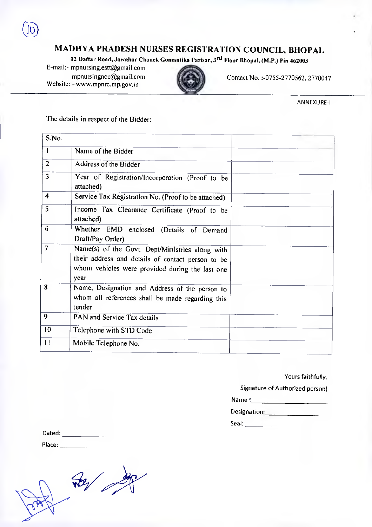

12 Daftar Road, Jawahar Chouck Comantika Parisar, 3'd Floor Bhopal, (M.P.) Pin 462003

E-mail:- mpnursing.estt@gmail.com mpnursingnoc@gmail.com Website: - www.mpnrc.mp.gov.in



Contact No. :-0755-2770562, 2770047

ANNEXURE-I

## The details in respect of the Bidder:

| Name of the Bidder                                                                                                                                              |  |
|-----------------------------------------------------------------------------------------------------------------------------------------------------------------|--|
| Address of the Bidder                                                                                                                                           |  |
| Year of Registration/Incorporation (Proof to be<br>attached)                                                                                                    |  |
| Service Tax Registration No. (Proof to be attached)                                                                                                             |  |
| Income Tax Clearance Certificate (Proof to be<br>attached)                                                                                                      |  |
| Whether EMD enclosed (Details of Demand<br>Draft/Pay Order)                                                                                                     |  |
| Name(s) of the Govt. Dept/Ministries along with<br>their address and details of contact person to be<br>whom vehicles were provided during the last one<br>year |  |
| Name, Designation and Address of the person to<br>whom all references shall be made regarding this<br>tender                                                    |  |
| PAN and Service Tax details                                                                                                                                     |  |
| Telephone with STD Code                                                                                                                                         |  |
| Mobile Telephone No.                                                                                                                                            |  |
|                                                                                                                                                                 |  |

Yours faithfully,

Signature of Authorized person)

Name:

Designation: Designation.

Seal:

| Dated: |  |
|--------|--|
| Place: |  |

 $\frac{1}{2}$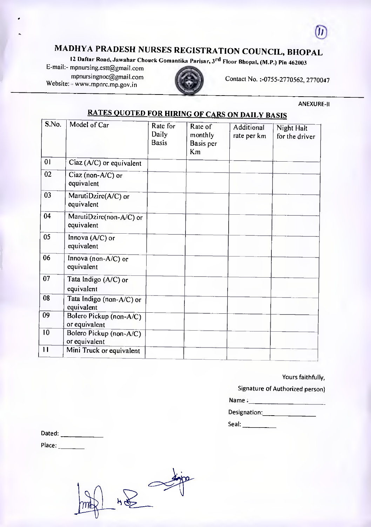

12 Daftar Road, Jawahar Chouck Gomantika Parisar, 3rd Floor Bhopal, (M.P.) Pin 462003

E-mail:- mpnursing.estt@gmail.com mpnursingnoc@gmail.com Website: - www.mpnrc.mp.goy.in



Contact No. :-0755-2770562, 2770047

ANEXURE-II

## RATES QUOTED FOR HIRING OF CARS ON DAILY BASIS

| S.No.           | Model of Car                             | Rate for<br>Daily<br><b>Basis</b> | Rate of<br>monthly<br>Basis per<br>Km | Additional<br>rate per km | Night Halt<br>for the driver |
|-----------------|------------------------------------------|-----------------------------------|---------------------------------------|---------------------------|------------------------------|
| 0 <sub>1</sub>  | Ciaz (A/C) or equivalent                 |                                   |                                       |                           |                              |
| 02              | Ciaz (non-A/C) or<br>equivalent          |                                   |                                       |                           |                              |
| 03              | MarutiDzire $(A/C)$ or<br>equivalent     |                                   |                                       |                           |                              |
| 04              | MarutiDzire(non-A/C) or<br>equivalent    |                                   |                                       |                           |                              |
| 05              | Innova (A/C) or<br>equivalent            |                                   |                                       |                           |                              |
| 06              | Innova (non- $A/C$ ) or<br>equivalent    |                                   |                                       |                           |                              |
| 07              | Tata Indigo (A/C) or<br>equivalent       |                                   |                                       |                           |                              |
| 08              | Tata Indigo (non-A/C) or<br>equivalent   |                                   |                                       |                           |                              |
| 09              | Bolero Pickup (non-A/C)<br>or equivalent |                                   |                                       |                           |                              |
| 10 <sup>1</sup> | Bolero Pickup (non-A/C)<br>or equivalent |                                   |                                       |                           |                              |
| $\overline{11}$ | Mini Truck or equivalent                 |                                   |                                       |                           |                              |

Yours faithfully,

Signature of Authorized person)

Name:

Designation:

Seal:  $\mathcal{L} = \{ \mathcal{L} \}$ 

| Dated: |  |  |  |
|--------|--|--|--|
| - 1    |  |  |  |

Place:

A RAY